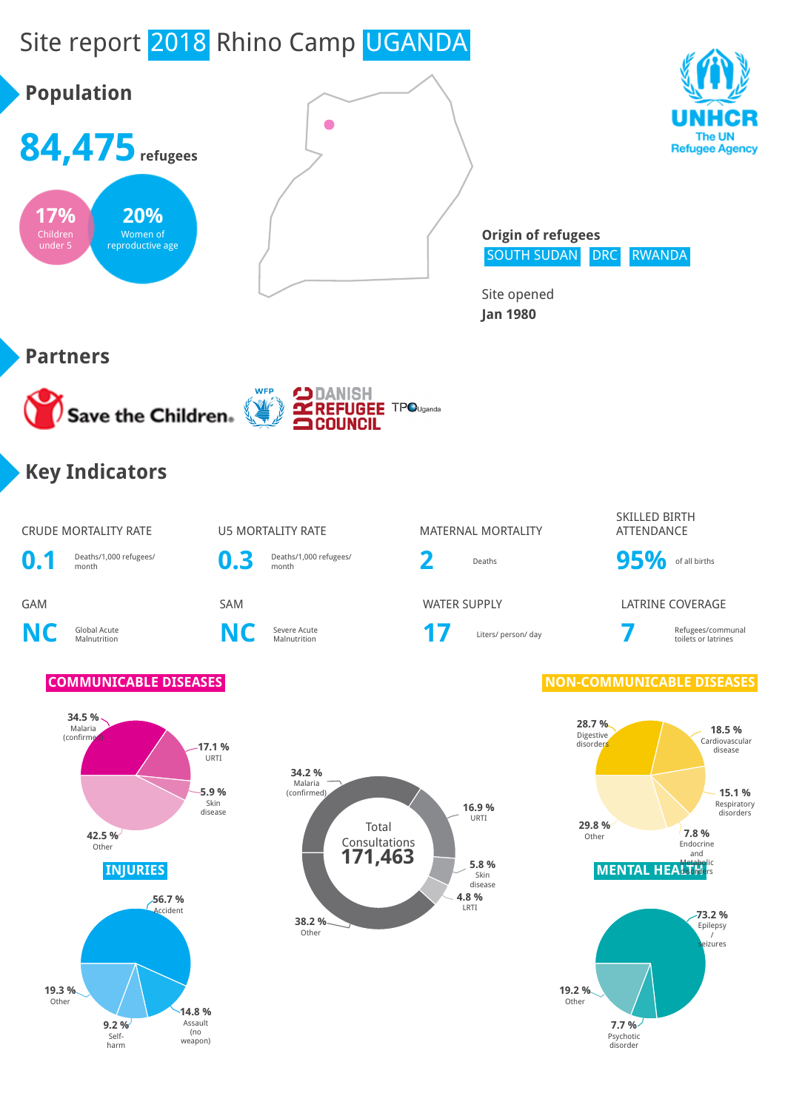# Site report 2018 Rhino Camp UGANDA

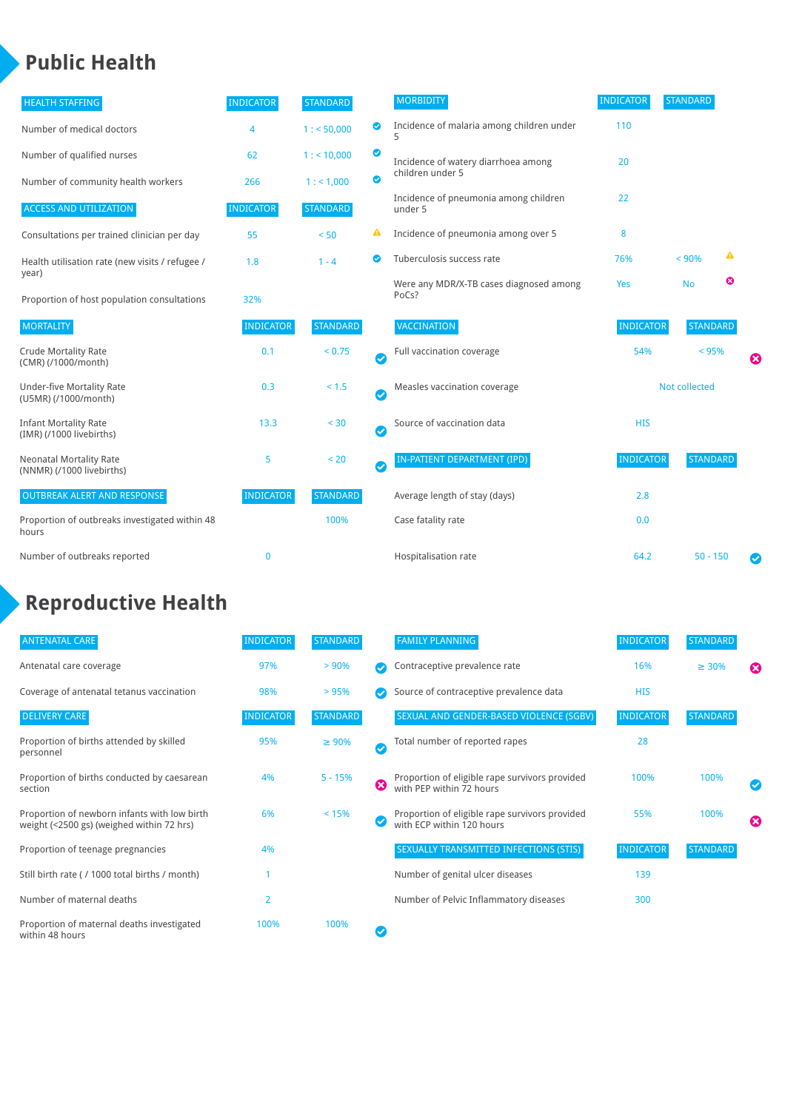### **Public Health**

| <b>HEALTH STAFFING</b>                                      | <b>INDICATOR</b> | <b>STANDARD</b> |                            | <b>MORBIDITY</b>                                 | <b>INDICATOR</b>     | <b>STANDARD</b> |   |   |
|-------------------------------------------------------------|------------------|-----------------|----------------------------|--------------------------------------------------|----------------------|-----------------|---|---|
| Number of medical doctors                                   | 4                | 1: 50,000       | ◉                          | Incidence of malaria among children under        | 110                  |                 |   |   |
| Number of qualified nurses                                  | 62               | $1:$ < 10,000   | ◉                          | Incidence of watery diarrhoea among              | 20                   |                 |   |   |
| Number of community health workers                          | 266              | 1: 1,000        | $\bullet$                  | children under 5                                 |                      |                 |   |   |
| <b>ACCESS AND UTILIZATION</b>                               | <b>INDICATOR</b> | <b>STANDARD</b> |                            | Incidence of pneumonia among children<br>under 5 | 22                   |                 |   |   |
| Consultations per trained clinician per day                 | 55               | < 50            | ▲                          | Incidence of pneumonia among over 5              | 8                    |                 |   |   |
| Health utilisation rate (new visits / refugee /             | 1.8              | $1 - 4$         | $\bullet$                  | Tuberculosis success rate                        | 76%                  | < 90%           | ▲ |   |
| year)<br>Proportion of host population consultations        | 32%              |                 |                            | Were any MDR/X-TB cases diagnosed among<br>PoCs? | Yes                  | <b>No</b>       | ☺ |   |
| <b>MORTALITY</b>                                            | <b>INDICATOR</b> | <b>STANDARD</b> |                            | VACCINATION                                      | <b>INDICATOR</b>     | <b>STANDARD</b> |   |   |
| <b>Crude Mortality Rate</b><br>(CMR) (/1000/month)          | 0.1              | < 0.75          | Ø                          | Full vaccination coverage                        | 54%                  | < 95%           |   | ظ |
| <b>Under-five Mortality Rate</b><br>(U5MR) (/1000/month)    | 0.3              | < 1.5           | Ø                          | Measles vaccination coverage                     | <b>Not collected</b> |                 |   |   |
| <b>Infant Mortality Rate</b><br>(IMR) (/1000 livebirths)    | 13.3             | < 30            | $\boldsymbol{\mathcal{S}}$ | Source of vaccination data                       | <b>HIS</b>           |                 |   |   |
| <b>Neonatal Mortality Rate</b><br>(NNMR) (/1000 livebirths) | 5                | < 20            | $\bm{\bm{\omega}}$         | IN-PATIENT DEPARTMENT (IPD)                      | <b>INDICATOR</b>     | <b>STANDARD</b> |   |   |
| <b>OUTBREAK ALERT AND RESPONSE</b>                          | <b>INDICATOR</b> | <b>STANDARD</b> |                            | Average length of stay (days)                    | 2.8                  |                 |   |   |
| Proportion of outbreaks investigated within 48<br>hours     |                  | 100%            |                            | Case fatality rate                               | 0.0                  |                 |   |   |
| Number of outbreaks reported                                | $\mathbf 0$      |                 |                            | Hospitalisation rate                             | 64.2                 | $50 - 150$      |   | Ø |

## **Reproductive Health**

| <b>ANTENATAL CARE</b>                                                                     | <b>INDICATOR</b> | <b>STANDARD</b> |                      | <b>FAMILY PLANNING</b>                                                      | <b>INDICATOR</b> | <b>STANDARD</b> |                          |
|-------------------------------------------------------------------------------------------|------------------|-----------------|----------------------|-----------------------------------------------------------------------------|------------------|-----------------|--------------------------|
| Antenatal care coverage                                                                   | 97%              | > 90%           |                      | Contraceptive prevalence rate                                               | 16%              | $\geq 30\%$     | ೞ                        |
| Coverage of antenatal tetanus vaccination                                                 | 98%              | >95%            |                      | Source of contraceptive prevalence data                                     | <b>HIS</b>       |                 |                          |
| <b>DELIVERY CARE</b>                                                                      | <b>INDICATOR</b> | <b>STANDARD</b> |                      | SEXUAL AND GENDER-BASED VIOLENCE (SGBV)                                     | <b>INDICATOR</b> | <b>STANDARD</b> |                          |
| Proportion of births attended by skilled<br>personnel                                     | 95%              | $\geq 90\%$     | $\blacktriangledown$ | Total number of reported rapes                                              | 28               |                 |                          |
| Proportion of births conducted by caesarean<br>section                                    | 4%               | $5 - 15%$       | Ø                    | Proportion of eligible rape survivors provided<br>with PEP within 72 hours  | 100%             | 100%            | $\overline{\mathcal{C}}$ |
| Proportion of newborn infants with low birth<br>weight (<2500 gs) (weighed within 72 hrs) | 6%               | < 15%           |                      | Proportion of eligible rape survivors provided<br>with ECP within 120 hours | 55%              | 100%            | Ø                        |
| Proportion of teenage pregnancies                                                         | 4%               |                 |                      | SEXUALLY TRANSMITTED INFECTIONS (STIS)                                      | <b>INDICATOR</b> | <b>STANDARD</b> |                          |
| Still birth rate (/ 1000 total births / month)                                            |                  |                 |                      | Number of genital ulcer diseases                                            | 139              |                 |                          |
| Number of maternal deaths                                                                 | $\overline{2}$   |                 |                      | Number of Pelvic Inflammatory diseases                                      | 300              |                 |                          |
| Proportion of maternal deaths investigated<br>within 48 hours                             | 100%             | 100%            |                      |                                                                             |                  |                 |                          |